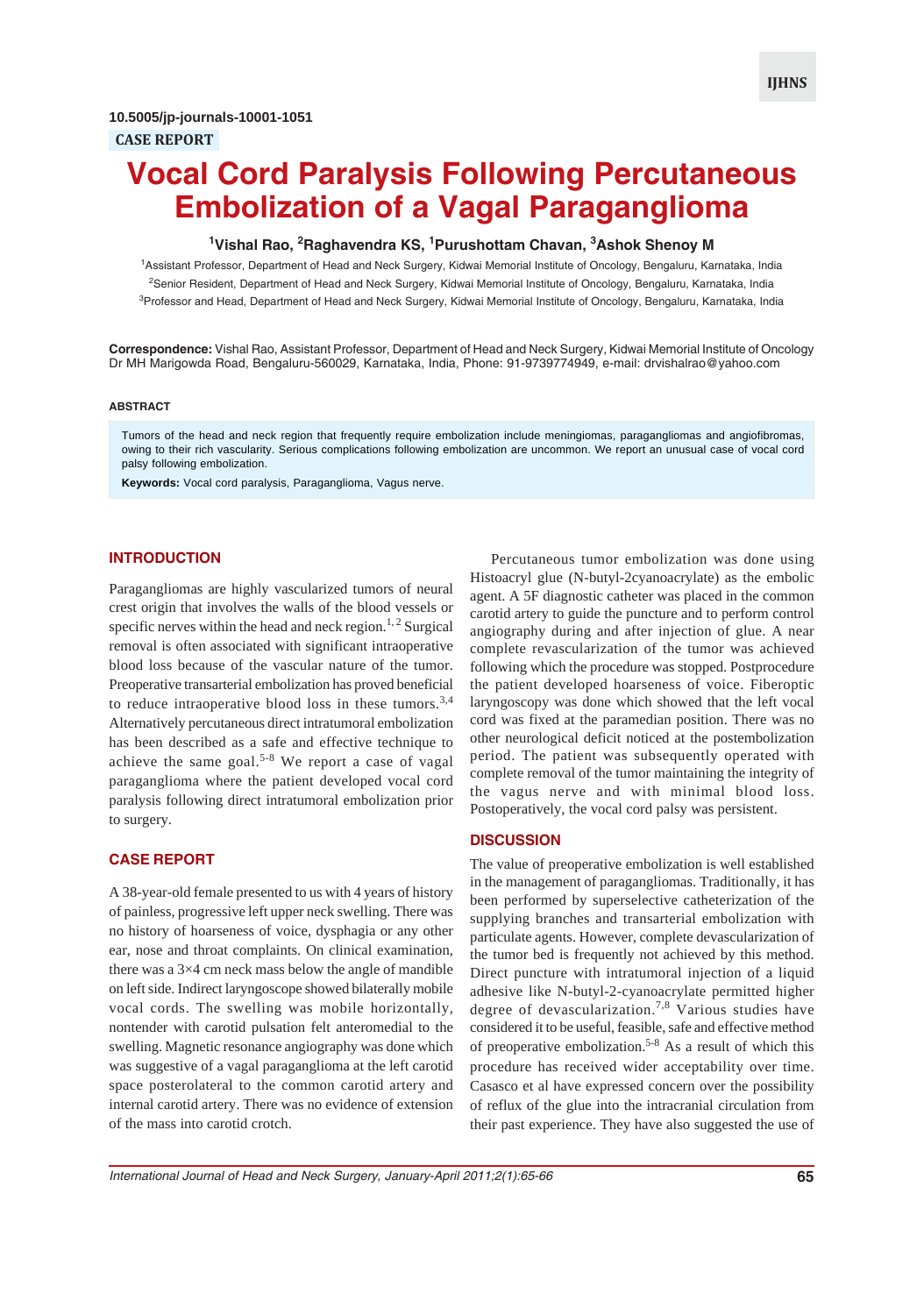# **Vocal Cord Paralysis Following Percutaneous Embolization of a Vagal Paraganglioma**

## **1 Vishal Rao, <sup>2</sup> Raghavendra KS, 1 Purushottam Chavan, 3 Ashok Shenoy M**

1 Assistant Professor, Department of Head and Neck Surgery, Kidwai Memorial Institute of Oncology, Bengaluru, Karnataka, India <sup>2</sup>Senior Resident, Department of Head and Neck Surgery, Kidwai Memorial Institute of Oncology, Bengaluru, Karnataka, India <sup>3</sup>Professor and Head, Department of Head and Neck Surgery, Kidwai Memorial Institute of Oncology, Bengaluru, Karnataka, India

**Correspondence:** Vishal Rao, Assistant Professor, Department of Head and Neck Surgery, Kidwai Memorial Institute of Oncology Dr MH Marigowda Road, Bengaluru-560029, Karnataka, India, Phone: 91-9739774949, e-mail: drvishalrao@yahoo.com

#### **ABSTRACT**

Tumors of the head and neck region that frequently require embolization include meningiomas, paragangliomas and angiofibromas, owing to their rich vascularity. Serious complications following embolization are uncommon. We report an unusual case of vocal cord palsy following embolization.

**Keywords:** Vocal cord paralysis, Paraganglioma, Vagus nerve.

## **INTRODUCTION**

Paragangliomas are highly vascularized tumors of neural crest origin that involves the walls of the blood vessels or specific nerves within the head and neck region.<sup>1, 2</sup> Surgical removal is often associated with significant intraoperative blood loss because of the vascular nature of the tumor. Preoperative transarterial embolization has proved beneficial to reduce intraoperative blood loss in these tumors.<sup>3,4</sup> Alternatively percutaneous direct intratumoral embolization has been described as a safe and effective technique to achieve the same goal.<sup>5-8</sup> We report a case of vagal paraganglioma where the patient developed vocal cord paralysis following direct intratumoral embolization prior to surgery.

### **CASE REPORT**

A 38-year-old female presented to us with 4 years of history of painless, progressive left upper neck swelling. There was no history of hoarseness of voice, dysphagia or any other ear, nose and throat complaints. On clinical examination, there was a 3×4 cm neck mass below the angle of mandible on left side. Indirect laryngoscope showed bilaterally mobile vocal cords. The swelling was mobile horizontally, nontender with carotid pulsation felt anteromedial to the swelling. Magnetic resonance angiography was done which was suggestive of a vagal paraganglioma at the left carotid space posterolateral to the common carotid artery and internal carotid artery. There was no evidence of extension of the mass into carotid crotch.

Percutaneous tumor embolization was done using Histoacryl glue (N-butyl-2cyanoacrylate) as the embolic agent. A 5F diagnostic catheter was placed in the common carotid artery to guide the puncture and to perform control angiography during and after injection of glue. A near complete revascularization of the tumor was achieved following which the procedure was stopped. Postprocedure the patient developed hoarseness of voice. Fiberoptic laryngoscopy was done which showed that the left vocal cord was fixed at the paramedian position. There was no other neurological deficit noticed at the postembolization period. The patient was subsequently operated with complete removal of the tumor maintaining the integrity of the vagus nerve and with minimal blood loss. Postoperatively, the vocal cord palsy was persistent.

#### **DISCUSSION**

The value of preoperative embolization is well established in the management of paragangliomas. Traditionally, it has been performed by superselective catheterization of the supplying branches and transarterial embolization with particulate agents. However, complete devascularization of the tumor bed is frequently not achieved by this method. Direct puncture with intratumoral injection of a liquid adhesive like N-butyl-2-cyanoacrylate permitted higher degree of devascularization.7,8 Various studies have considered it to be useful, feasible, safe and effective method of preoperative embolization.5-8 As a result of which this procedure has received wider acceptability over time. Casasco et al have expressed concern over the possibility of reflux of the glue into the intracranial circulation from their past experience. They have also suggested the use of